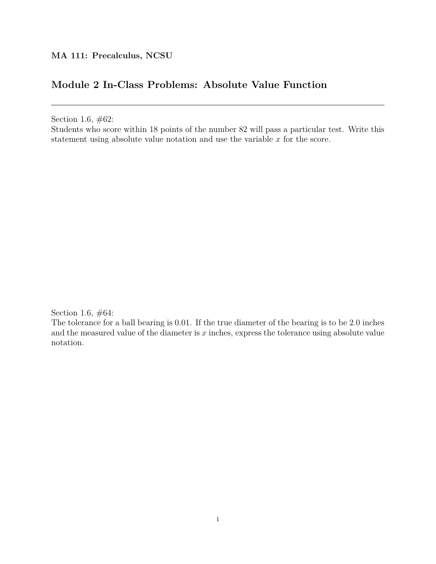# **Module 2 In-Class Problems: Absolute Value Function**

Section 1.6, #62:

Students who score within 18 points of the number 82 will pass a particular test. Write this statement using absolute value notation and use the variable *x* for the score.

Section 1.6, #64:

The tolerance for a ball bearing is 0*.*01. If the true diameter of the bearing is to be 2*.*0 inches and the measured value of the diameter is *x* inches, express the tolerance using absolute value notation.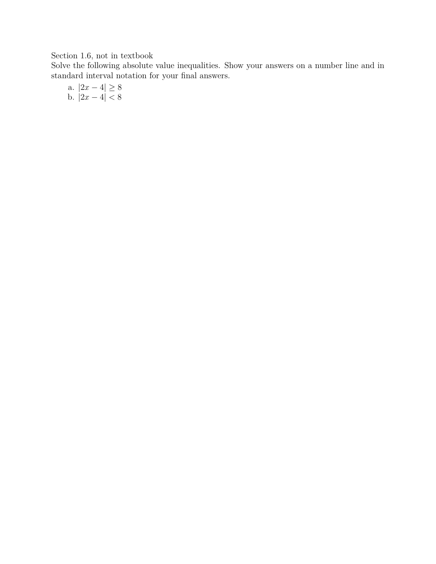### Section 1.6, not in textbook

Solve the following absolute value inequalities. Show your answers on a number line and in standard interval notation for your final answers.

a. 
$$
|2x - 4| \ge 8
$$
  
b.  $|2x - 4| < 8$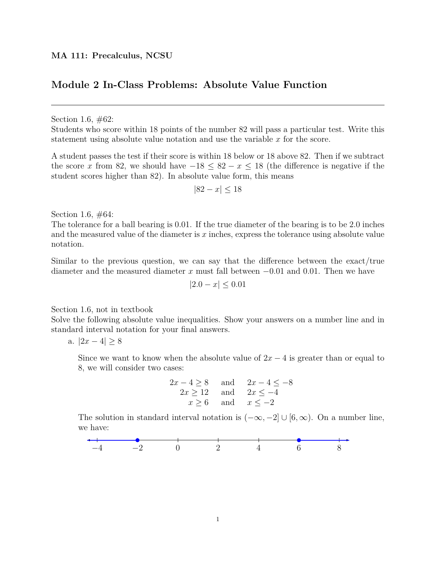### **Module 2 In-Class Problems: Absolute Value Function**

Section 1.6,  $\#62$ :

Students who score within 18 points of the number 82 will pass a particular test. Write this statement using absolute value notation and use the variable *x* for the score.

A student passes the test if their score is within 18 below or 18 above 82. Then if we subtract the score *x* from 82, we should have  $-18 \leq 82 - x \leq 18$  (the difference is negative if the student scores higher than 82). In absolute value form, this means

$$
|82 - x| \le 18
$$

Section 1.6, #64:

The tolerance for a ball bearing is 0*.*01. If the true diameter of the bearing is to be 2*.*0 inches and the measured value of the diameter is *x* inches, express the tolerance using absolute value notation.

Similar to the previous question, we can say that the difference between the exact/true diameter and the measured diameter *x* must fall between *−*0*.*01 and 0*.*01. Then we have

$$
|2.0 - x| \le 0.01
$$

Section 1.6, not in textbook

Solve the following absolute value inequalities. Show your answers on a number line and in standard interval notation for your final answers.

a. *|*2*x −* 4*| ≥* 8

Since we want to know when the absolute value of  $2x - 4$  is greater than or equal to 8, we will consider two cases:

$$
2x - 4 \ge 8
$$
 and 
$$
2x - 4 \le -8
$$
  

$$
2x \ge 12
$$
 and 
$$
2x \le -4
$$
  

$$
x \ge 6
$$
 and 
$$
x \le -2
$$

The solution in standard interval notation is  $(-\infty, -2] \cup [6, \infty)$ . On a number line, we have:

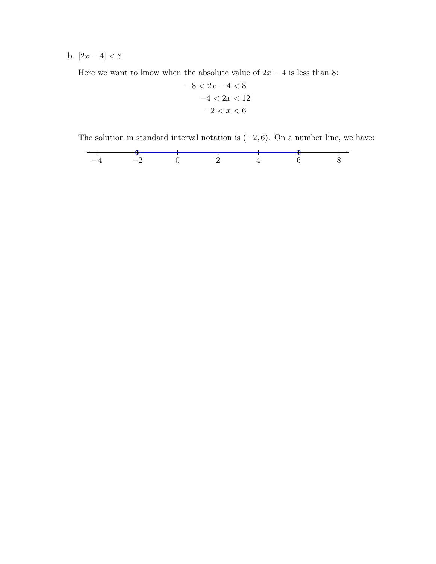**b.**  $|2x - 4|$  < 8

Here we want to know when the absolute value of  $2x - 4$  is less than 8:

$$
-8 < 2x - 4 < 8 \\
-4 < 2x < 12 \\
-2 < x < 6
$$

The solution in standard interval notation is (*−*2*,* 6). On a number line, we have:

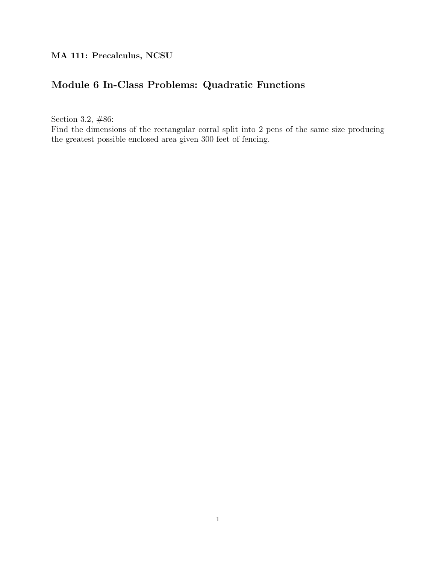# **Module 6 In-Class Problems: Quadratic Functions**

Section 3.2, #86:

Find the dimensions of the rectangular corral split into 2 pens of the same size producing the greatest possible enclosed area given 300 feet of fencing.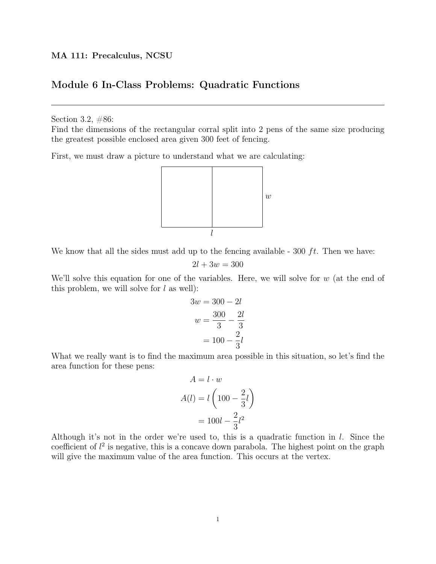### Module 6 In-Class Problems: Quadratic Functions

Section 3.2, #86:

Find the dimensions of the rectangular corral split into 2 pens of the same size producing the greatest possible enclosed area given 300 feet of fencing.

First, we must draw a picture to understand what we are calculating:



We know that all the sides must add up to the fencing available - 300  $ft$ . Then we have:

$$
2l + 3w = 300
$$

We'll solve this equation for one of the variables. Here, we will solve for  $w$  (at the end of this problem, we will solve for  $l$  as well):

$$
3w = 300 - 2l
$$

$$
w = \frac{300}{3} - \frac{2l}{3}
$$

$$
= 100 - \frac{2}{3}l
$$

What we really want is to find the maximum area possible in this situation, so let's find the area function for these pens:

$$
A = l \cdot w
$$

$$
A(l) = l \left( 100 - \frac{2}{3}l \right)
$$

$$
= 100l - \frac{2}{3}l^2
$$

Although it's not in the order we're used to, this is a quadratic function in  $l$ . Since the coefficient of  $l^2$  is negative, this is a concave down parabola. The highest point on the graph will give the maximum value of the area function. This occurs at the vertex.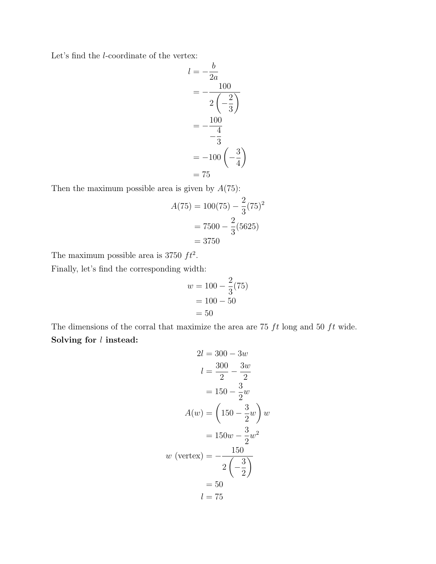Let's find the l-coordinate of the vertex:

$$
l = -\frac{b}{2a}
$$
  
=  $-\frac{100}{2\left(-\frac{2}{3}\right)}$   
=  $-\frac{100}{-\frac{4}{3}}$   
=  $-100\left(-\frac{3}{4}\right)$   
= 75

Then the maximum possible area is given by  $A(75)$ :

$$
A(75) = 100(75) - \frac{2}{3}(75)^{2}
$$

$$
= 7500 - \frac{2}{3}(5625)
$$

$$
= 3750
$$

The maximum possible area is 3750  $ft^2$ .

Finally, let's find the corresponding width:

$$
w = 100 - \frac{2}{3}(75)
$$
  
= 100 - 50  
= 50

The dimensions of the corral that maximize the area are 75  $ft$  long and 50  $ft$  wide. Solving for  $l$  instead:

$$
2l = 300 - 3w
$$
  
\n
$$
l = \frac{300}{2} - \frac{3w}{2}
$$
  
\n
$$
= 150 - \frac{3}{2}w
$$
  
\n
$$
A(w) = \left(150 - \frac{3}{2}w\right)w
$$
  
\n
$$
= 150w - \frac{3}{2}w^2
$$
  
\n
$$
w \text{ (vertex)} = -\frac{150}{2\left(-\frac{3}{2}\right)}
$$
  
\n
$$
= 50
$$
  
\n
$$
l = 75
$$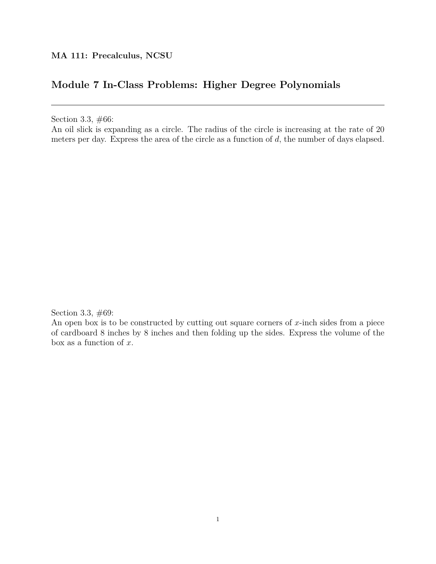## **Module 7 In-Class Problems: Higher Degree Polynomials**

Section 3.3, #66:

An oil slick is expanding as a circle. The radius of the circle is increasing at the rate of 20 meters per day. Express the area of the circle as a function of *d*, the number of days elapsed.

Section 3.3, #69:

An open box is to be constructed by cutting out square corners of *x*-inch sides from a piece of cardboard 8 inches by 8 inches and then folding up the sides. Express the volume of the box as a function of *x*.